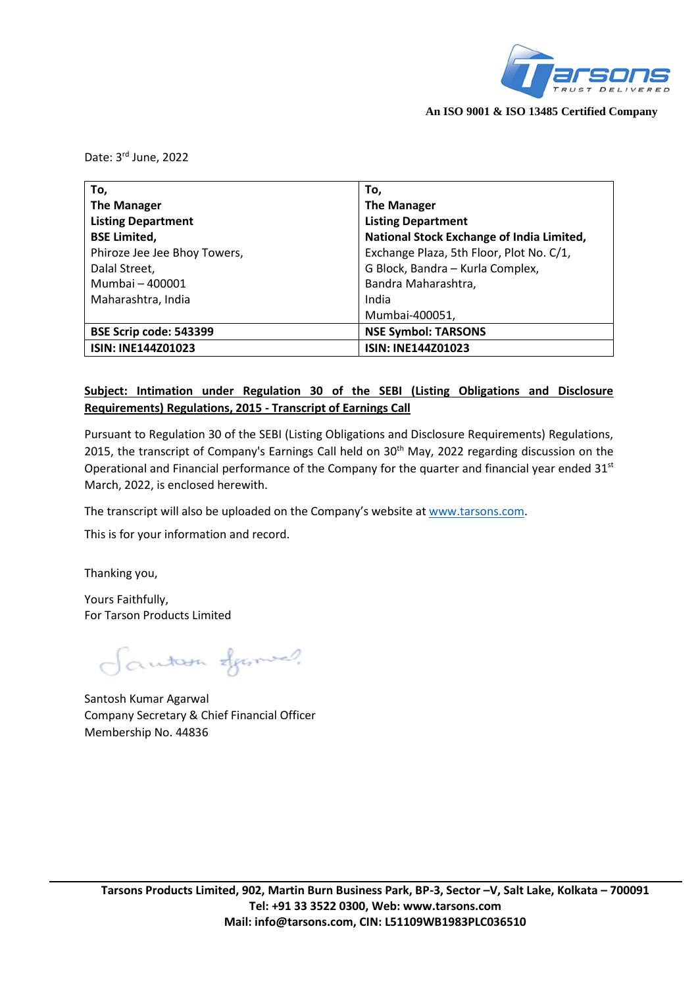

**An ISO 9001 & ISO 13485 Certified Company**

Date: 3<sup>rd</sup> June, 2022

| To,                          | To,                                       |
|------------------------------|-------------------------------------------|
| <b>The Manager</b>           | <b>The Manager</b>                        |
| <b>Listing Department</b>    | <b>Listing Department</b>                 |
| <b>BSE Limited,</b>          | National Stock Exchange of India Limited, |
| Phiroze Jee Jee Bhoy Towers, | Exchange Plaza, 5th Floor, Plot No. C/1,  |
| Dalal Street,                | G Block, Bandra - Kurla Complex,          |
| Mumbai - 400001              | Bandra Maharashtra,                       |
| Maharashtra, India           | India                                     |
|                              | Mumbai-400051,                            |
| BSE Scrip code: 543399       | <b>NSE Symbol: TARSONS</b>                |
| <b>ISIN: INE144Z01023</b>    | <b>ISIN: INE144Z01023</b>                 |

# **Subject: Intimation under Regulation 30 of the SEBI (Listing Obligations and Disclosure Requirements) Regulations, 2015 - Transcript of Earnings Call**

Pursuant to Regulation 30 of the SEBI (Listing Obligations and Disclosure Requirements) Regulations, 2015, the transcript of Company's Earnings Call held on 30<sup>th</sup> May, 2022 regarding discussion on the Operational and Financial performance of the Company for the quarter and financial year ended 31<sup>st</sup> March, 2022, is enclosed herewith.

The transcript will also be uploaded on the Company's website at [www.tarsons.com.](http://www.tarsons.com/)

This is for your information and record.

Thanking you,

Yours Faithfully, For Tarson Products Limited

Fantan Spanish

Santosh Kumar Agarwal Company Secretary & Chief Financial Officer Membership No. 44836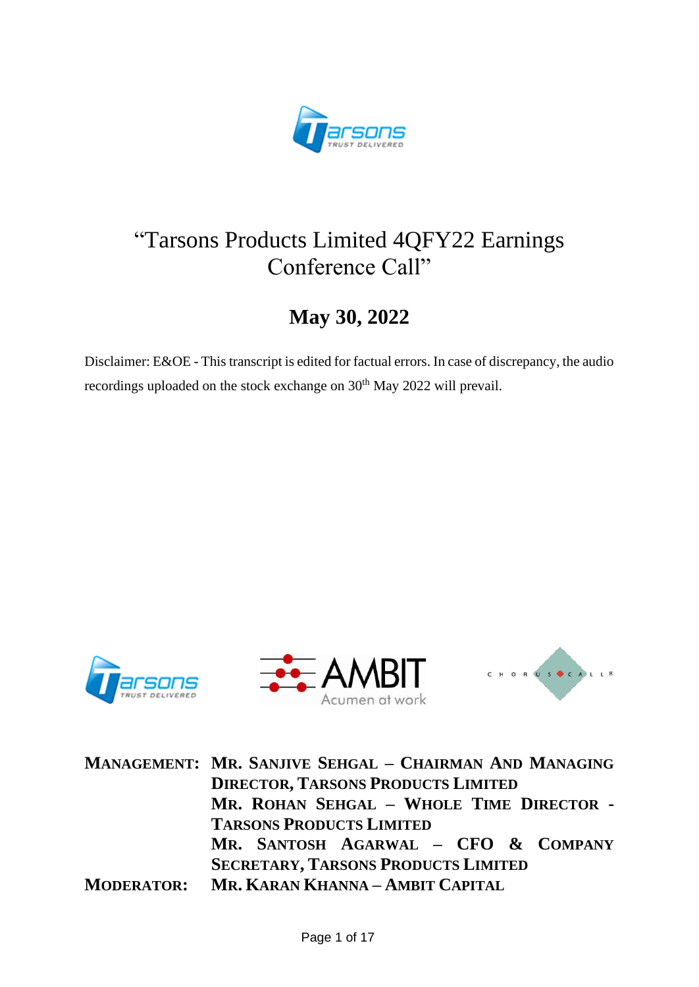

# "Tarsons Products Limited 4QFY22 Earnings Conference Call"

# **May 30, 2022**

Disclaimer: E&OE - This transcript is edited for factual errors. In case of discrepancy, the audio recordings uploaded on the stock exchange on 30<sup>th</sup> May 2022 will prevail.







**MANAGEMENT: MR. SANJIVE SEHGAL – CHAIRMAN AND MANAGING DIRECTOR, TARSONS PRODUCTS LIMITED MR. ROHAN SEHGAL – WHOLE TIME DIRECTOR - TARSONS PRODUCTS LIMITED MR. SANTOSH AGARWAL – CFO & COMPANY SECRETARY, TARSONS PRODUCTS LIMITED MODERATOR: MR. KARAN KHANNA – AMBIT CAPITAL**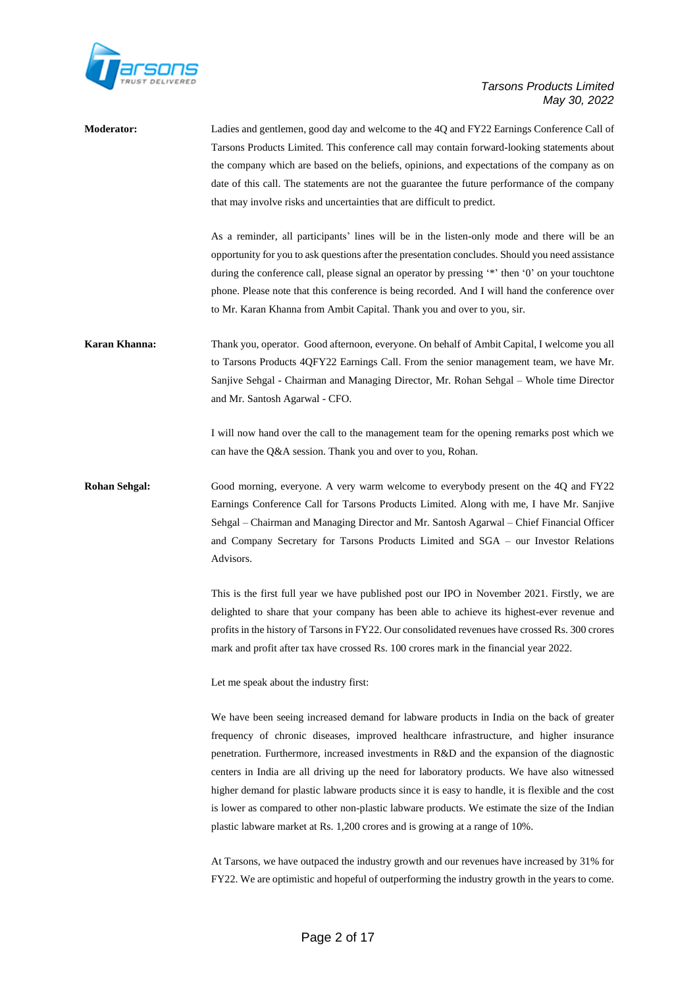

| <b>Moderator:</b>    | Ladies and gentlemen, good day and welcome to the 4Q and FY22 Earnings Conference Call of<br>Tarsons Products Limited. This conference call may contain forward-looking statements about<br>the company which are based on the beliefs, opinions, and expectations of the company as on<br>date of this call. The statements are not the guarantee the future performance of the company<br>that may involve risks and uncertainties that are difficult to predict.                                                                                                                                                                                                        |
|----------------------|----------------------------------------------------------------------------------------------------------------------------------------------------------------------------------------------------------------------------------------------------------------------------------------------------------------------------------------------------------------------------------------------------------------------------------------------------------------------------------------------------------------------------------------------------------------------------------------------------------------------------------------------------------------------------|
|                      | As a reminder, all participants' lines will be in the listen-only mode and there will be an<br>opportunity for you to ask questions after the presentation concludes. Should you need assistance<br>during the conference call, please signal an operator by pressing '*' then '0' on your touchtone<br>phone. Please note that this conference is being recorded. And I will hand the conference over<br>to Mr. Karan Khanna from Ambit Capital. Thank you and over to you, sir.                                                                                                                                                                                          |
| Karan Khanna:        | Thank you, operator. Good afternoon, everyone. On behalf of Ambit Capital, I welcome you all<br>to Tarsons Products 4QFY22 Earnings Call. From the senior management team, we have Mr.<br>Sanjive Sehgal - Chairman and Managing Director, Mr. Rohan Sehgal - Whole time Director<br>and Mr. Santosh Agarwal - CFO.                                                                                                                                                                                                                                                                                                                                                        |
|                      | I will now hand over the call to the management team for the opening remarks post which we<br>can have the Q&A session. Thank you and over to you, Rohan.                                                                                                                                                                                                                                                                                                                                                                                                                                                                                                                  |
| <b>Rohan Sehgal:</b> | Good morning, everyone. A very warm welcome to everybody present on the 4Q and FY22<br>Earnings Conference Call for Tarsons Products Limited. Along with me, I have Mr. Sanjive<br>Sehgal – Chairman and Managing Director and Mr. Santosh Agarwal – Chief Financial Officer<br>and Company Secretary for Tarsons Products Limited and SGA - our Investor Relations<br>Advisors.                                                                                                                                                                                                                                                                                           |
|                      | This is the first full year we have published post our IPO in November 2021. Firstly, we are<br>delighted to share that your company has been able to achieve its highest-ever revenue and<br>profits in the history of Tarsons in FY22. Our consolidated revenues have crossed Rs. 300 crores<br>mark and profit after tax have crossed Rs. 100 crores mark in the financial year 2022.                                                                                                                                                                                                                                                                                   |
|                      | Let me speak about the industry first:                                                                                                                                                                                                                                                                                                                                                                                                                                                                                                                                                                                                                                     |
|                      | We have been seeing increased demand for labware products in India on the back of greater<br>frequency of chronic diseases, improved healthcare infrastructure, and higher insurance<br>penetration. Furthermore, increased investments in R&D and the expansion of the diagnostic<br>centers in India are all driving up the need for laboratory products. We have also witnessed<br>higher demand for plastic labware products since it is easy to handle, it is flexible and the cost<br>is lower as compared to other non-plastic labware products. We estimate the size of the Indian<br>plastic labware market at Rs. 1,200 crores and is growing at a range of 10%. |
|                      | At Tarsons, we have outpaced the industry growth and our revenues have increased by 31% for                                                                                                                                                                                                                                                                                                                                                                                                                                                                                                                                                                                |

FY22. We are optimistic and hopeful of outperforming the industry growth in the years to come.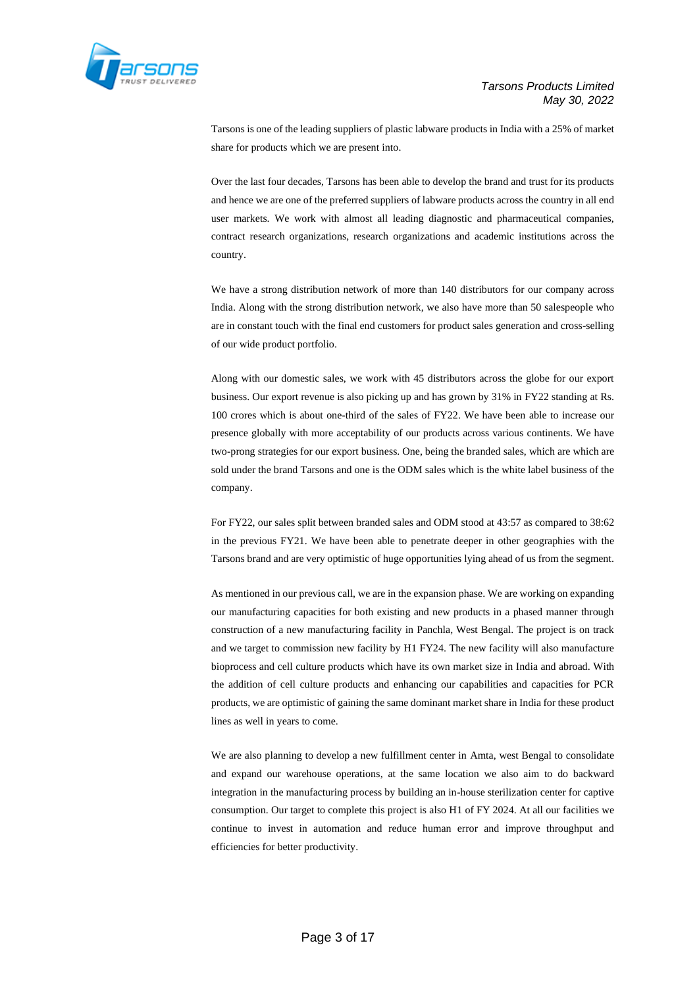

Tarsons is one of the leading suppliers of plastic labware products in India with a 25% of market share for products which we are present into.

Over the last four decades, Tarsons has been able to develop the brand and trust for its products and hence we are one of the preferred suppliers of labware products across the country in all end user markets. We work with almost all leading diagnostic and pharmaceutical companies, contract research organizations, research organizations and academic institutions across the country.

We have a strong distribution network of more than 140 distributors for our company across India. Along with the strong distribution network, we also have more than 50 salespeople who are in constant touch with the final end customers for product sales generation and cross-selling of our wide product portfolio.

Along with our domestic sales, we work with 45 distributors across the globe for our export business. Our export revenue is also picking up and has grown by 31% in FY22 standing at Rs. 100 crores which is about one-third of the sales of FY22. We have been able to increase our presence globally with more acceptability of our products across various continents. We have two-prong strategies for our export business. One, being the branded sales, which are which are sold under the brand Tarsons and one is the ODM sales which is the white label business of the company.

For FY22, our sales split between branded sales and ODM stood at 43:57 as compared to 38:62 in the previous FY21. We have been able to penetrate deeper in other geographies with the Tarsons brand and are very optimistic of huge opportunities lying ahead of us from the segment.

As mentioned in our previous call, we are in the expansion phase. We are working on expanding our manufacturing capacities for both existing and new products in a phased manner through construction of a new manufacturing facility in Panchla, West Bengal. The project is on track and we target to commission new facility by H1 FY24. The new facility will also manufacture bioprocess and cell culture products which have its own market size in India and abroad. With the addition of cell culture products and enhancing our capabilities and capacities for PCR products, we are optimistic of gaining the same dominant market share in India for these product lines as well in years to come.

We are also planning to develop a new fulfillment center in Amta, west Bengal to consolidate and expand our warehouse operations, at the same location we also aim to do backward integration in the manufacturing process by building an in-house sterilization center for captive consumption. Our target to complete this project is also H1 of FY 2024. At all our facilities we continue to invest in automation and reduce human error and improve throughput and efficiencies for better productivity.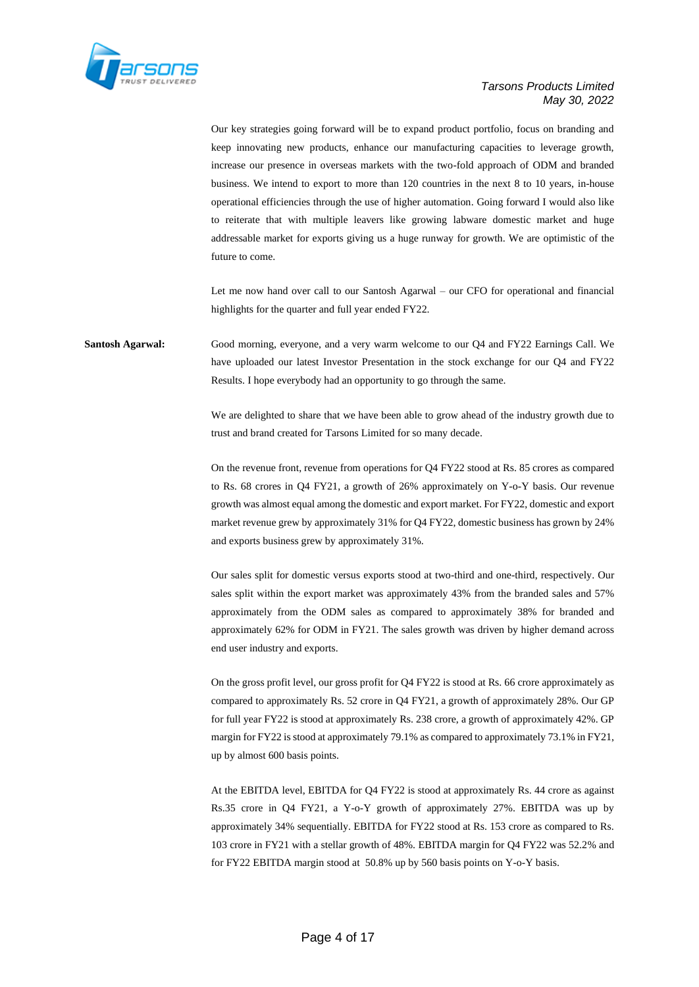

Our key strategies going forward will be to expand product portfolio, focus on branding and keep innovating new products, enhance our manufacturing capacities to leverage growth, increase our presence in overseas markets with the two-fold approach of ODM and branded business. We intend to export to more than 120 countries in the next 8 to 10 years, in-house operational efficiencies through the use of higher automation. Going forward I would also like to reiterate that with multiple leavers like growing labware domestic market and huge addressable market for exports giving us a huge runway for growth. We are optimistic of the future to come.

Let me now hand over call to our Santosh Agarwal – our CFO for operational and financial highlights for the quarter and full year ended FY22.

**Santosh Agarwal:** Good morning, everyone, and a very warm welcome to our Q4 and FY22 Earnings Call. We have uploaded our latest Investor Presentation in the stock exchange for our Q4 and FY22 Results. I hope everybody had an opportunity to go through the same.

> We are delighted to share that we have been able to grow ahead of the industry growth due to trust and brand created for Tarsons Limited for so many decade.

> On the revenue front, revenue from operations for Q4 FY22 stood at Rs. 85 crores as compared to Rs. 68 crores in Q4 FY21, a growth of 26% approximately on Y-o-Y basis. Our revenue growth was almost equal among the domestic and export market. For FY22, domestic and export market revenue grew by approximately 31% for Q4 FY22, domestic business has grown by 24% and exports business grew by approximately 31%.

> Our sales split for domestic versus exports stood at two-third and one-third, respectively. Our sales split within the export market was approximately 43% from the branded sales and 57% approximately from the ODM sales as compared to approximately 38% for branded and approximately 62% for ODM in FY21. The sales growth was driven by higher demand across end user industry and exports.

> On the gross profit level, our gross profit for Q4 FY22 is stood at Rs. 66 crore approximately as compared to approximately Rs. 52 crore in Q4 FY21, a growth of approximately 28%. Our GP for full year FY22 is stood at approximately Rs. 238 crore, a growth of approximately 42%. GP margin for FY22 is stood at approximately 79.1% as compared to approximately 73.1% in FY21, up by almost 600 basis points.

> At the EBITDA level, EBITDA for Q4 FY22 is stood at approximately Rs. 44 crore as against Rs.35 crore in Q4 FY21, a Y-o-Y growth of approximately 27%. EBITDA was up by approximately 34% sequentially. EBITDA for FY22 stood at Rs. 153 crore as compared to Rs. 103 crore in FY21 with a stellar growth of 48%. EBITDA margin for Q4 FY22 was 52.2% and for FY22 EBITDA margin stood at 50.8% up by 560 basis points on Y-o-Y basis.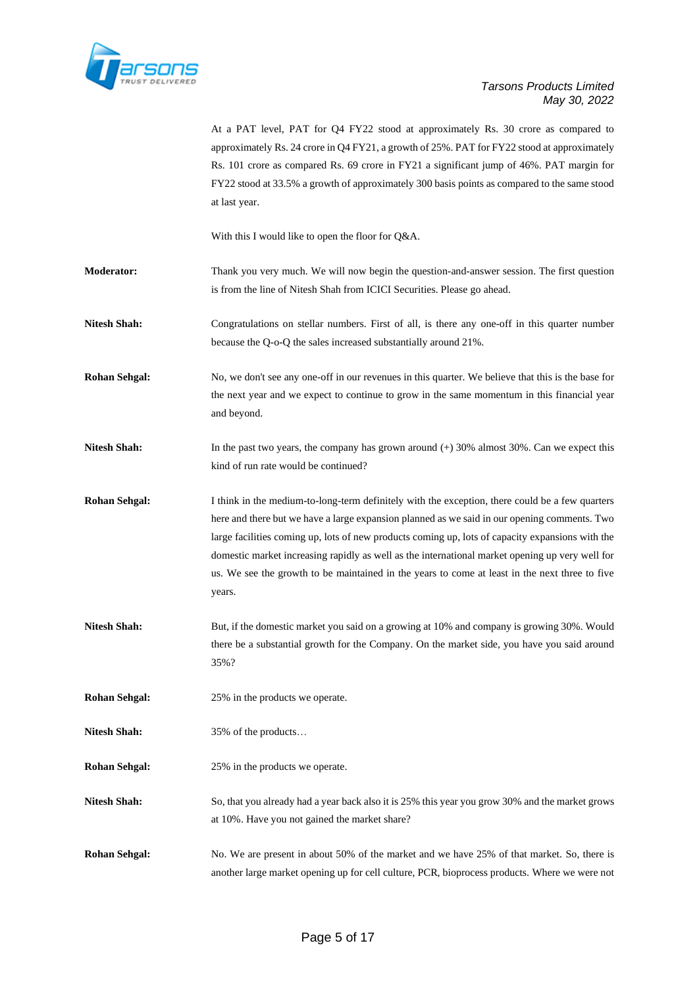

At a PAT level, PAT for Q4 FY22 stood at approximately Rs. 30 crore as compared to approximately Rs. 24 crore in Q4 FY21, a growth of 25%. PAT for FY22 stood at approximately Rs. 101 crore as compared Rs. 69 crore in FY21 a significant jump of 46%. PAT margin for FY22 stood at 33.5% a growth of approximately 300 basis points as compared to the same stood at last year.

With this I would like to open the floor for Q&A.

- **Moderator:** Thank you very much. We will now begin the question-and-answer session. The first question is from the line of Nitesh Shah from ICICI Securities. Please go ahead.
- **Nitesh Shah:** Congratulations on stellar numbers. First of all, is there any one-off in this quarter number because the Q-o-Q the sales increased substantially around 21%.
- **Rohan Sehgal:** No, we don't see any one-off in our revenues in this quarter. We believe that this is the base for the next year and we expect to continue to grow in the same momentum in this financial year and beyond.
- **Nitesh Shah:** In the past two years, the company has grown around (+) 30% almost 30%. Can we expect this kind of run rate would be continued?
- **Rohan Sehgal:** I think in the medium-to-long-term definitely with the exception, there could be a few quarters here and there but we have a large expansion planned as we said in our opening comments. Two large facilities coming up, lots of new products coming up, lots of capacity expansions with the domestic market increasing rapidly as well as the international market opening up very well for us. We see the growth to be maintained in the years to come at least in the next three to five years.
- **Nitesh Shah:** But, if the domestic market you said on a growing at 10% and company is growing 30%. Would there be a substantial growth for the Company. On the market side, you have you said around 35%?
- **Rohan Sehgal:** 25% in the products we operate.
- Nitesh Shah:  $35\%$  of the products...
- **Rohan Sehgal:** 25% in the products we operate.
- **Nitesh Shah:** So, that you already had a year back also it is 25% this year you grow 30% and the market grows at 10%. Have you not gained the market share?
- **Rohan Sehgal:** No. We are present in about 50% of the market and we have 25% of that market. So, there is another large market opening up for cell culture, PCR, bioprocess products. Where we were not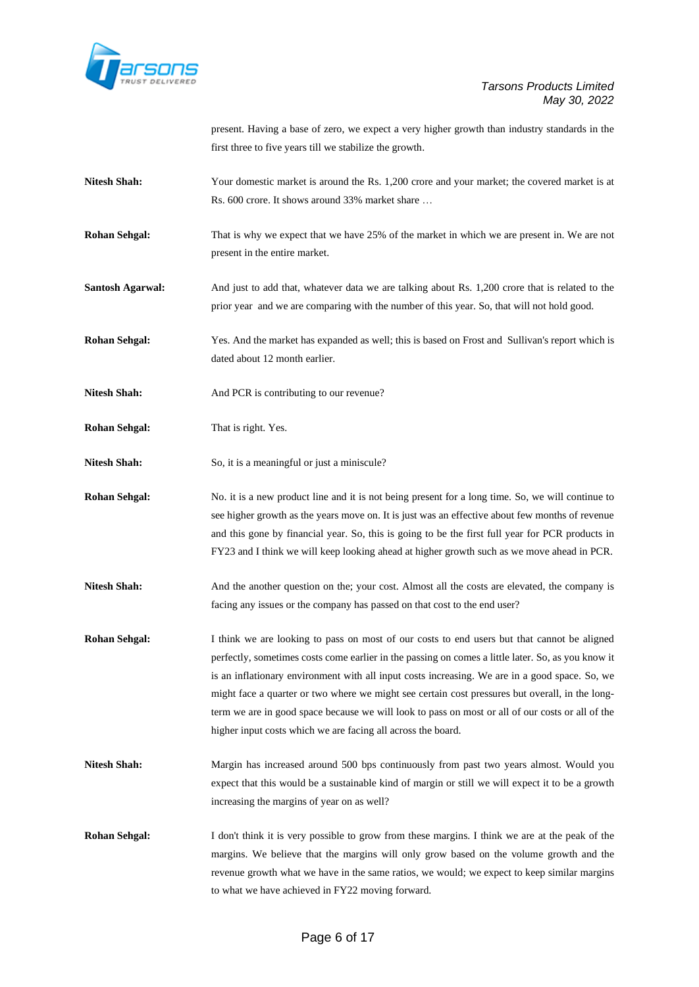

present. Having a base of zero, we expect a very higher growth than industry standards in the first three to five years till we stabilize the growth.

- **Nitesh Shah:** Your domestic market is around the Rs. 1,200 crore and your market; the covered market is at Rs. 600 crore. It shows around 33% market share …
- **Rohan Sehgal:** That is why we expect that we have 25% of the market in which we are present in. We are not present in the entire market.
- Santosh Agarwal: And just to add that, whatever data we are talking about Rs. 1,200 crore that is related to the prior year and we are comparing with the number of this year. So, that will not hold good.
- **Rohan Sehgal:** Yes. And the market has expanded as well; this is based on Frost and Sullivan's report which is dated about 12 month earlier.
- Nitesh Shah: And PCR is contributing to our revenue?
- **Rohan Sehgal:** That is right. Yes.
- Nitesh Shah: So, it is a meaningful or just a miniscule?
- **Rohan Sehgal:** No. it is a new product line and it is not being present for a long time. So, we will continue to see higher growth as the years move on. It is just was an effective about few months of revenue and this gone by financial year. So, this is going to be the first full year for PCR products in FY23 and I think we will keep looking ahead at higher growth such as we move ahead in PCR.
- **Nitesh Shah:** And the another question on the; your cost. Almost all the costs are elevated, the company is facing any issues or the company has passed on that cost to the end user?
- **Rohan Sehgal:** I think we are looking to pass on most of our costs to end users but that cannot be aligned perfectly, sometimes costs come earlier in the passing on comes a little later. So, as you know it is an inflationary environment with all input costs increasing. We are in a good space. So, we might face a quarter or two where we might see certain cost pressures but overall, in the longterm we are in good space because we will look to pass on most or all of our costs or all of the higher input costs which we are facing all across the board.
- Nitesh Shah: Margin has increased around 500 bps continuously from past two years almost. Would you expect that this would be a sustainable kind of margin or still we will expect it to be a growth increasing the margins of year on as well?
- **Rohan Sehgal:** I don't think it is very possible to grow from these margins. I think we are at the peak of the margins. We believe that the margins will only grow based on the volume growth and the revenue growth what we have in the same ratios, we would; we expect to keep similar margins to what we have achieved in FY22 moving forward.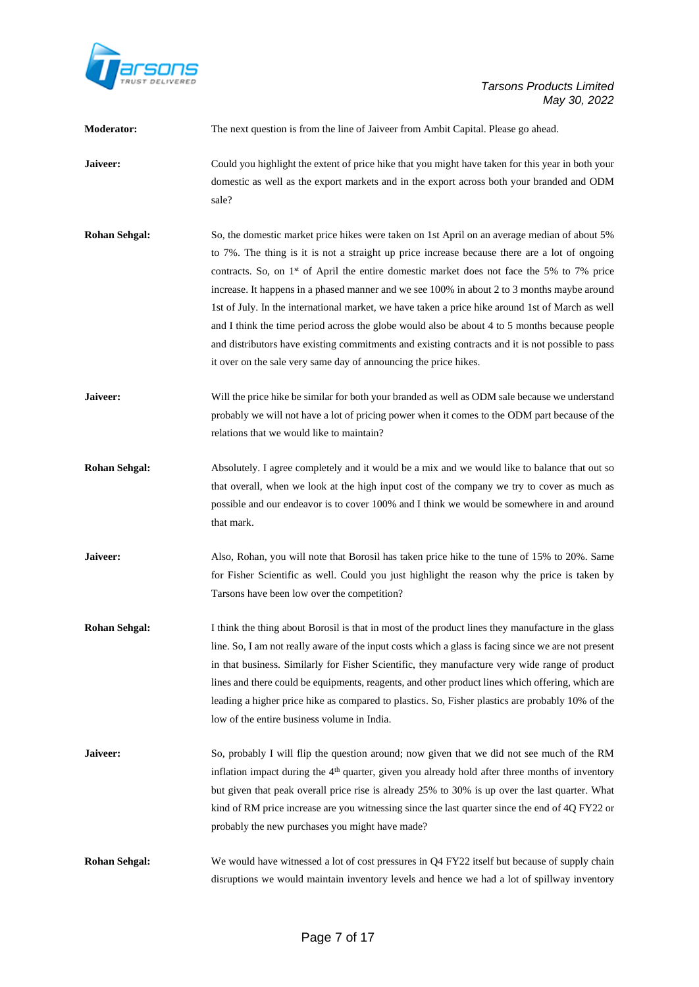

| Moderator:           | The next question is from the line of Jaiveer from Ambit Capital. Please go ahead.                                                                                                                                                                                                                                                                                                                                                                                                                                                                                                                                                                                                                                                                                                  |
|----------------------|-------------------------------------------------------------------------------------------------------------------------------------------------------------------------------------------------------------------------------------------------------------------------------------------------------------------------------------------------------------------------------------------------------------------------------------------------------------------------------------------------------------------------------------------------------------------------------------------------------------------------------------------------------------------------------------------------------------------------------------------------------------------------------------|
| Jaiveer:             | Could you highlight the extent of price hike that you might have taken for this year in both your<br>domestic as well as the export markets and in the export across both your branded and ODM<br>sale?                                                                                                                                                                                                                                                                                                                                                                                                                                                                                                                                                                             |
| <b>Rohan Sehgal:</b> | So, the domestic market price hikes were taken on 1st April on an average median of about 5%<br>to 7%. The thing is it is not a straight up price increase because there are a lot of ongoing<br>contracts. So, on 1 <sup>st</sup> of April the entire domestic market does not face the 5% to 7% price<br>increase. It happens in a phased manner and we see 100% in about 2 to 3 months maybe around<br>1st of July. In the international market, we have taken a price hike around 1st of March as well<br>and I think the time period across the globe would also be about 4 to 5 months because people<br>and distributors have existing commitments and existing contracts and it is not possible to pass<br>it over on the sale very same day of announcing the price hikes. |
| Jaiveer:             | Will the price hike be similar for both your branded as well as ODM sale because we understand<br>probably we will not have a lot of pricing power when it comes to the ODM part because of the<br>relations that we would like to maintain?                                                                                                                                                                                                                                                                                                                                                                                                                                                                                                                                        |
| <b>Rohan Sehgal:</b> | Absolutely. I agree completely and it would be a mix and we would like to balance that out so<br>that overall, when we look at the high input cost of the company we try to cover as much as<br>possible and our endeavor is to cover 100% and I think we would be somewhere in and around<br>that mark.                                                                                                                                                                                                                                                                                                                                                                                                                                                                            |
| Jaiveer:             | Also, Rohan, you will note that Borosil has taken price hike to the tune of 15% to 20%. Same<br>for Fisher Scientific as well. Could you just highlight the reason why the price is taken by<br>Tarsons have been low over the competition?                                                                                                                                                                                                                                                                                                                                                                                                                                                                                                                                         |
| <b>Rohan Sehgal:</b> | I think the thing about Borosil is that in most of the product lines they manufacture in the glass<br>line. So, I am not really aware of the input costs which a glass is facing since we are not present<br>in that business. Similarly for Fisher Scientific, they manufacture very wide range of product<br>lines and there could be equipments, reagents, and other product lines which offering, which are<br>leading a higher price hike as compared to plastics. So, Fisher plastics are probably 10% of the<br>low of the entire business volume in India.                                                                                                                                                                                                                  |
| Jaiveer:             | So, probably I will flip the question around; now given that we did not see much of the RM<br>inflation impact during the 4 <sup>th</sup> quarter, given you already hold after three months of inventory<br>but given that peak overall price rise is already 25% to 30% is up over the last quarter. What<br>kind of RM price increase are you witnessing since the last quarter since the end of 4Q FY22 or<br>probably the new purchases you might have made?                                                                                                                                                                                                                                                                                                                   |
| <b>Rohan Sehgal:</b> | We would have witnessed a lot of cost pressures in Q4 FY22 itself but because of supply chain<br>disruptions we would maintain inventory levels and hence we had a lot of spillway inventory                                                                                                                                                                                                                                                                                                                                                                                                                                                                                                                                                                                        |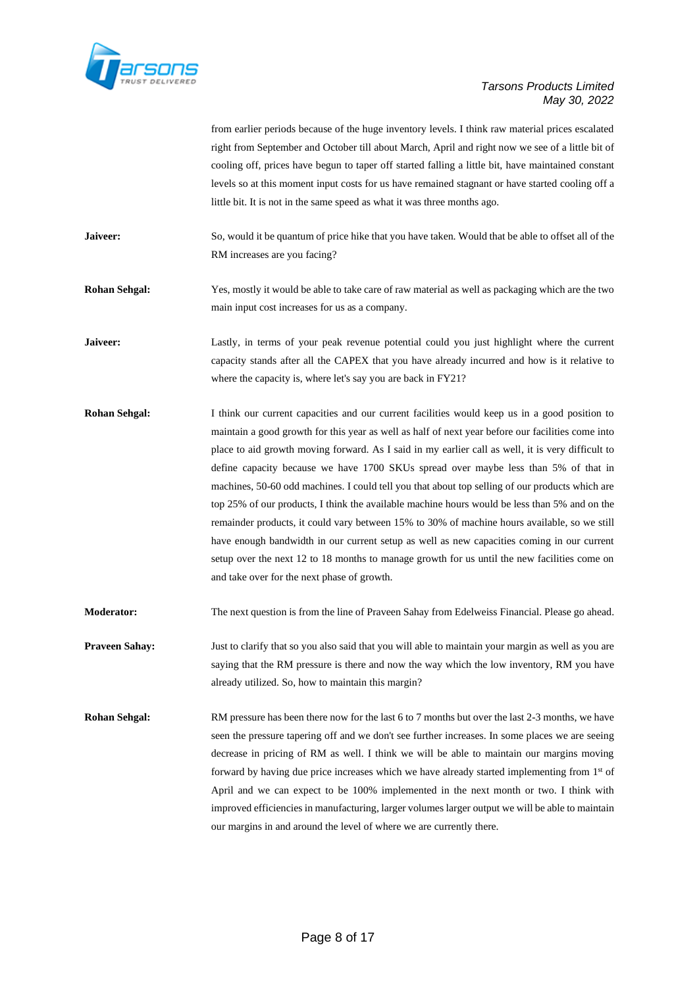

|                       | from earlier periods because of the huge inventory levels. I think raw material prices escalated<br>right from September and October till about March, April and right now we see of a little bit of<br>cooling off, prices have begun to taper off started falling a little bit, have maintained constant<br>levels so at this moment input costs for us have remained stagnant or have started cooling off a<br>little bit. It is not in the same speed as what it was three months ago.                                                                                                                                                                                                                                                                                                                                                                                                                                                      |
|-----------------------|-------------------------------------------------------------------------------------------------------------------------------------------------------------------------------------------------------------------------------------------------------------------------------------------------------------------------------------------------------------------------------------------------------------------------------------------------------------------------------------------------------------------------------------------------------------------------------------------------------------------------------------------------------------------------------------------------------------------------------------------------------------------------------------------------------------------------------------------------------------------------------------------------------------------------------------------------|
| Jaiveer:              | So, would it be quantum of price hike that you have taken. Would that be able to offset all of the<br>RM increases are you facing?                                                                                                                                                                                                                                                                                                                                                                                                                                                                                                                                                                                                                                                                                                                                                                                                              |
| <b>Rohan Sehgal:</b>  | Yes, mostly it would be able to take care of raw material as well as packaging which are the two<br>main input cost increases for us as a company.                                                                                                                                                                                                                                                                                                                                                                                                                                                                                                                                                                                                                                                                                                                                                                                              |
| Jaiveer:              | Lastly, in terms of your peak revenue potential could you just highlight where the current<br>capacity stands after all the CAPEX that you have already incurred and how is it relative to<br>where the capacity is, where let's say you are back in FY21?                                                                                                                                                                                                                                                                                                                                                                                                                                                                                                                                                                                                                                                                                      |
| <b>Rohan Sehgal:</b>  | I think our current capacities and our current facilities would keep us in a good position to<br>maintain a good growth for this year as well as half of next year before our facilities come into<br>place to aid growth moving forward. As I said in my earlier call as well, it is very difficult to<br>define capacity because we have 1700 SKUs spread over maybe less than 5% of that in<br>machines, 50-60 odd machines. I could tell you that about top selling of our products which are<br>top 25% of our products, I think the available machine hours would be less than 5% and on the<br>remainder products, it could vary between 15% to 30% of machine hours available, so we still<br>have enough bandwidth in our current setup as well as new capacities coming in our current<br>setup over the next 12 to 18 months to manage growth for us until the new facilities come on<br>and take over for the next phase of growth. |
| <b>Moderator:</b>     | The next question is from the line of Praveen Sahay from Edelweiss Financial. Please go ahead.                                                                                                                                                                                                                                                                                                                                                                                                                                                                                                                                                                                                                                                                                                                                                                                                                                                  |
| <b>Praveen Sahay:</b> | Just to clarify that so you also said that you will able to maintain your margin as well as you are<br>saying that the RM pressure is there and now the way which the low inventory, RM you have<br>already utilized. So, how to maintain this margin?                                                                                                                                                                                                                                                                                                                                                                                                                                                                                                                                                                                                                                                                                          |
| <b>Rohan Sehgal:</b>  | RM pressure has been there now for the last 6 to 7 months but over the last 2-3 months, we have<br>seen the pressure tapering off and we don't see further increases. In some places we are seeing<br>decrease in pricing of RM as well. I think we will be able to maintain our margins moving<br>forward by having due price increases which we have already started implementing from 1 <sup>st</sup> of<br>April and we can expect to be 100% implemented in the next month or two. I think with<br>improved efficiencies in manufacturing, larger volumes larger output we will be able to maintain<br>our margins in and around the level of where we are currently there.                                                                                                                                                                                                                                                                |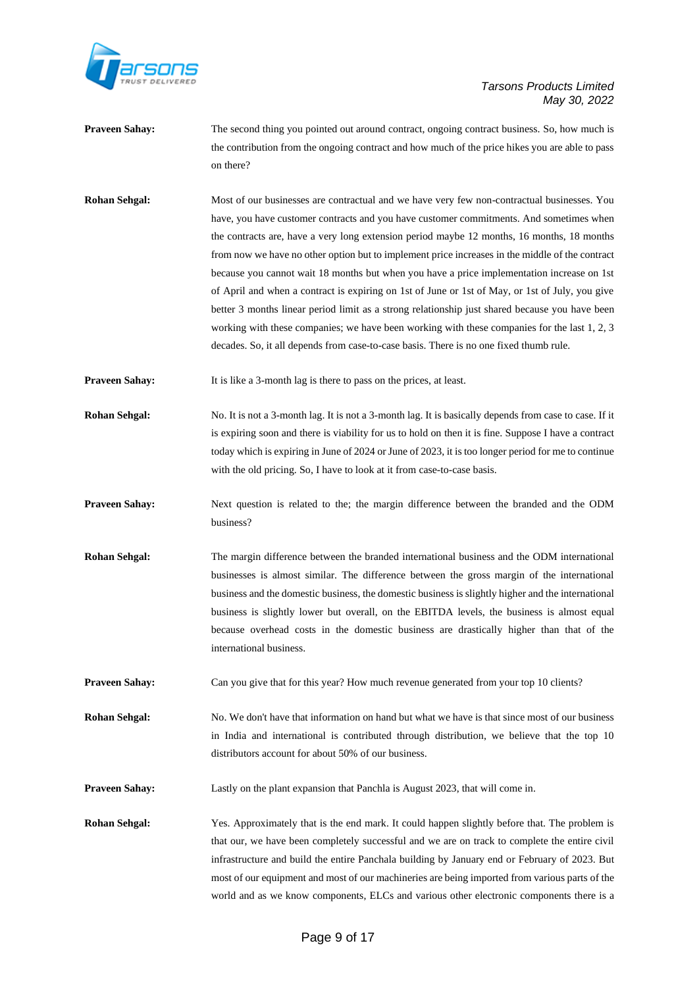

| <b>Praveen Sahay:</b> | The second thing you pointed out around contract, ongoing contract business. So, how much is<br>the contribution from the ongoing contract and how much of the price hikes you are able to pass                                                                                                                                                                                                                                                                                                                                                                                                                                                                                                                                                                                                                                                                                      |
|-----------------------|--------------------------------------------------------------------------------------------------------------------------------------------------------------------------------------------------------------------------------------------------------------------------------------------------------------------------------------------------------------------------------------------------------------------------------------------------------------------------------------------------------------------------------------------------------------------------------------------------------------------------------------------------------------------------------------------------------------------------------------------------------------------------------------------------------------------------------------------------------------------------------------|
|                       | on there?                                                                                                                                                                                                                                                                                                                                                                                                                                                                                                                                                                                                                                                                                                                                                                                                                                                                            |
| <b>Rohan Sehgal:</b>  | Most of our businesses are contractual and we have very few non-contractual businesses. You<br>have, you have customer contracts and you have customer commitments. And sometimes when<br>the contracts are, have a very long extension period maybe 12 months, 16 months, 18 months<br>from now we have no other option but to implement price increases in the middle of the contract<br>because you cannot wait 18 months but when you have a price implementation increase on 1st<br>of April and when a contract is expiring on 1st of June or 1st of May, or 1st of July, you give<br>better 3 months linear period limit as a strong relationship just shared because you have been<br>working with these companies; we have been working with these companies for the last 1, 2, 3<br>decades. So, it all depends from case-to-case basis. There is no one fixed thumb rule. |
| <b>Praveen Sahay:</b> | It is like a 3-month lag is there to pass on the prices, at least.                                                                                                                                                                                                                                                                                                                                                                                                                                                                                                                                                                                                                                                                                                                                                                                                                   |
| <b>Rohan Sehgal:</b>  | No. It is not a 3-month lag. It is not a 3-month lag. It is basically depends from case to case. If it<br>is expiring soon and there is viability for us to hold on then it is fine. Suppose I have a contract<br>today which is expiring in June of 2024 or June of 2023, it is too longer period for me to continue<br>with the old pricing. So, I have to look at it from case-to-case basis.                                                                                                                                                                                                                                                                                                                                                                                                                                                                                     |
| <b>Praveen Sahay:</b> | Next question is related to the; the margin difference between the branded and the ODM<br>business?                                                                                                                                                                                                                                                                                                                                                                                                                                                                                                                                                                                                                                                                                                                                                                                  |
| <b>Rohan Sehgal:</b>  | The margin difference between the branded international business and the ODM international<br>businesses is almost similar. The difference between the gross margin of the international<br>business and the domestic business, the domestic business is slightly higher and the international<br>business is slightly lower but overall, on the EBITDA levels, the business is almost equal<br>because overhead costs in the domestic business are drastically higher than that of the<br>international business.                                                                                                                                                                                                                                                                                                                                                                   |
| <b>Praveen Sahay:</b> | Can you give that for this year? How much revenue generated from your top 10 clients?                                                                                                                                                                                                                                                                                                                                                                                                                                                                                                                                                                                                                                                                                                                                                                                                |
| <b>Rohan Sehgal:</b>  | No. We don't have that information on hand but what we have is that since most of our business<br>in India and international is contributed through distribution, we believe that the top 10<br>distributors account for about 50% of our business.                                                                                                                                                                                                                                                                                                                                                                                                                                                                                                                                                                                                                                  |
| <b>Praveen Sahay:</b> | Lastly on the plant expansion that Panchla is August 2023, that will come in.                                                                                                                                                                                                                                                                                                                                                                                                                                                                                                                                                                                                                                                                                                                                                                                                        |
| <b>Rohan Sehgal:</b>  | Yes. Approximately that is the end mark. It could happen slightly before that. The problem is<br>that our we have been completely successful and we are an track to complete the option givil                                                                                                                                                                                                                                                                                                                                                                                                                                                                                                                                                                                                                                                                                        |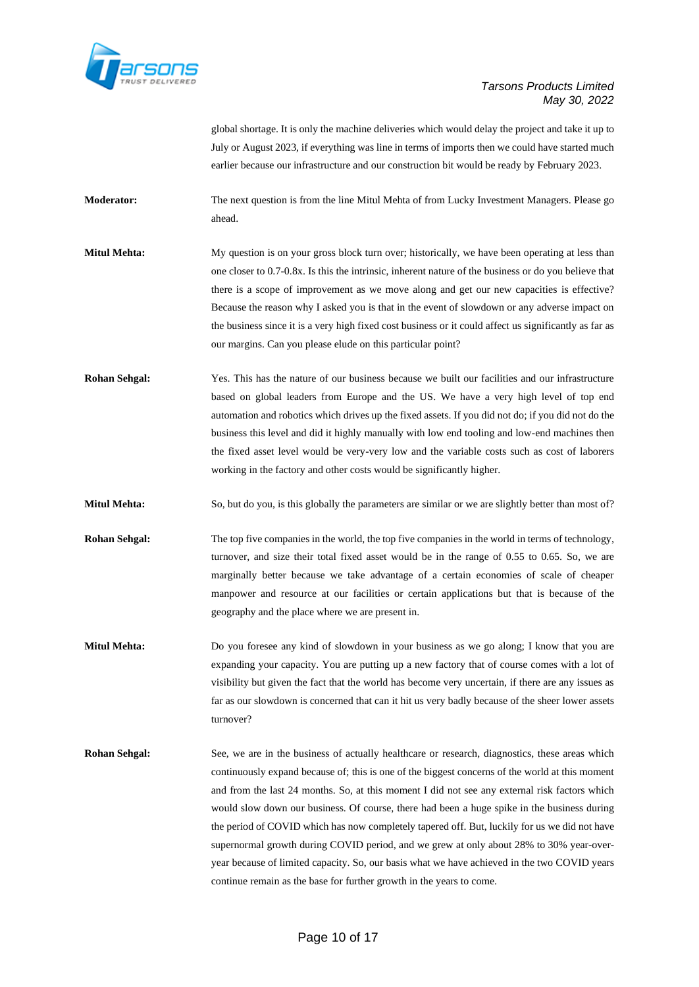

global shortage. It is only the machine deliveries which would delay the project and take it up to July or August 2023, if everything was line in terms of imports then we could have started much earlier because our infrastructure and our construction bit would be ready by February 2023.

**Moderator:** The next question is from the line Mitul Mehta of from Lucky Investment Managers. Please go ahead.

**Mitul Mehta:** My question is on your gross block turn over; historically, we have been operating at less than one closer to 0.7-0.8x. Is this the intrinsic, inherent nature of the business or do you believe that there is a scope of improvement as we move along and get our new capacities is effective? Because the reason why I asked you is that in the event of slowdown or any adverse impact on the business since it is a very high fixed cost business or it could affect us significantly as far as our margins. Can you please elude on this particular point?

**Rohan Sehgal:** Yes. This has the nature of our business because we built our facilities and our infrastructure based on global leaders from Europe and the US. We have a very high level of top end automation and robotics which drives up the fixed assets. If you did not do; if you did not do the business this level and did it highly manually with low end tooling and low-end machines then the fixed asset level would be very-very low and the variable costs such as cost of laborers working in the factory and other costs would be significantly higher.

**Mitul Mehta:** So, but do you, is this globally the parameters are similar or we are slightly better than most of?

- **Rohan Sehgal:** The top five companies in the world, the top five companies in the world in terms of technology, turnover, and size their total fixed asset would be in the range of 0.55 to 0.65. So, we are marginally better because we take advantage of a certain economies of scale of cheaper manpower and resource at our facilities or certain applications but that is because of the geography and the place where we are present in.
- **Mitul Mehta:** Do you foresee any kind of slowdown in your business as we go along; I know that you are expanding your capacity. You are putting up a new factory that of course comes with a lot of visibility but given the fact that the world has become very uncertain, if there are any issues as far as our slowdown is concerned that can it hit us very badly because of the sheer lower assets turnover?
- **Rohan Sehgal:** See, we are in the business of actually healthcare or research, diagnostics, these areas which continuously expand because of; this is one of the biggest concerns of the world at this moment and from the last 24 months. So, at this moment I did not see any external risk factors which would slow down our business. Of course, there had been a huge spike in the business during the period of COVID which has now completely tapered off. But, luckily for us we did not have supernormal growth during COVID period, and we grew at only about 28% to 30% year-overyear because of limited capacity. So, our basis what we have achieved in the two COVID years continue remain as the base for further growth in the years to come.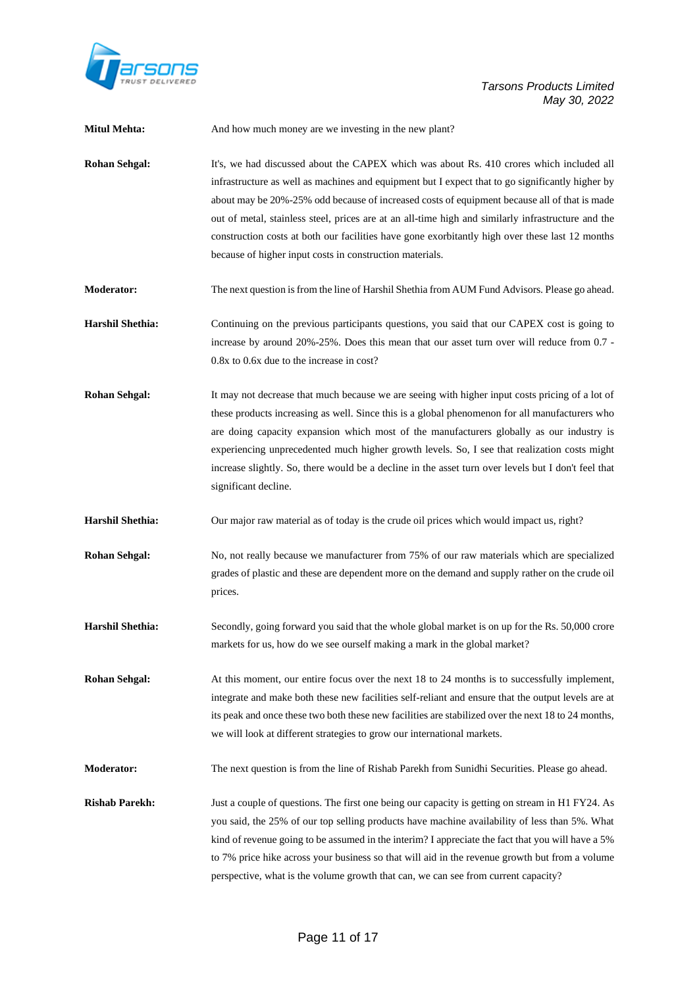

| <b>Mitul Mehta:</b>     | And how much money are we investing in the new plant?                                                                                                                                                                                                                                                                                                                                                                                                                                                                                                             |
|-------------------------|-------------------------------------------------------------------------------------------------------------------------------------------------------------------------------------------------------------------------------------------------------------------------------------------------------------------------------------------------------------------------------------------------------------------------------------------------------------------------------------------------------------------------------------------------------------------|
| <b>Rohan Sehgal:</b>    | It's, we had discussed about the CAPEX which was about Rs. 410 crores which included all<br>infrastructure as well as machines and equipment but I expect that to go significantly higher by<br>about may be 20%-25% odd because of increased costs of equipment because all of that is made<br>out of metal, stainless steel, prices are at an all-time high and similarly infrastructure and the<br>construction costs at both our facilities have gone exorbitantly high over these last 12 months<br>because of higher input costs in construction materials. |
| <b>Moderator:</b>       | The next question is from the line of Harshil Shethia from AUM Fund Advisors. Please go ahead.                                                                                                                                                                                                                                                                                                                                                                                                                                                                    |
| <b>Harshil Shethia:</b> | Continuing on the previous participants questions, you said that our CAPEX cost is going to<br>increase by around 20%-25%. Does this mean that our asset turn over will reduce from 0.7 -<br>0.8x to 0.6x due to the increase in cost?                                                                                                                                                                                                                                                                                                                            |
| <b>Rohan Sehgal:</b>    | It may not decrease that much because we are seeing with higher input costs pricing of a lot of<br>these products increasing as well. Since this is a global phenomenon for all manufacturers who<br>are doing capacity expansion which most of the manufacturers globally as our industry is<br>experiencing unprecedented much higher growth levels. So, I see that realization costs might<br>increase slightly. So, there would be a decline in the asset turn over levels but I don't feel that<br>significant decline.                                      |
| <b>Harshil Shethia:</b> | Our major raw material as of today is the crude oil prices which would impact us, right?                                                                                                                                                                                                                                                                                                                                                                                                                                                                          |
| <b>Rohan Sehgal:</b>    | No, not really because we manufacturer from 75% of our raw materials which are specialized<br>grades of plastic and these are dependent more on the demand and supply rather on the crude oil<br>prices.                                                                                                                                                                                                                                                                                                                                                          |
| <b>Harshil Shethia:</b> | Secondly, going forward you said that the whole global market is on up for the Rs. 50,000 crore<br>markets for us, how do we see ourself making a mark in the global market?                                                                                                                                                                                                                                                                                                                                                                                      |
| <b>Rohan Sehgal:</b>    | At this moment, our entire focus over the next 18 to 24 months is to successfully implement,<br>integrate and make both these new facilities self-reliant and ensure that the output levels are at<br>its peak and once these two both these new facilities are stabilized over the next 18 to 24 months,<br>we will look at different strategies to grow our international markets.                                                                                                                                                                              |
| Moderator:              | The next question is from the line of Rishab Parekh from Sunidhi Securities. Please go ahead.                                                                                                                                                                                                                                                                                                                                                                                                                                                                     |
| <b>Rishab Parekh:</b>   | Just a couple of questions. The first one being our capacity is getting on stream in H1 FY24. As<br>you said, the 25% of our top selling products have machine availability of less than 5%. What<br>kind of revenue going to be assumed in the interim? I appreciate the fact that you will have a 5%<br>to 7% price hike across your business so that will aid in the revenue growth but from a volume<br>perspective, what is the volume growth that can, we can see from current capacity?                                                                    |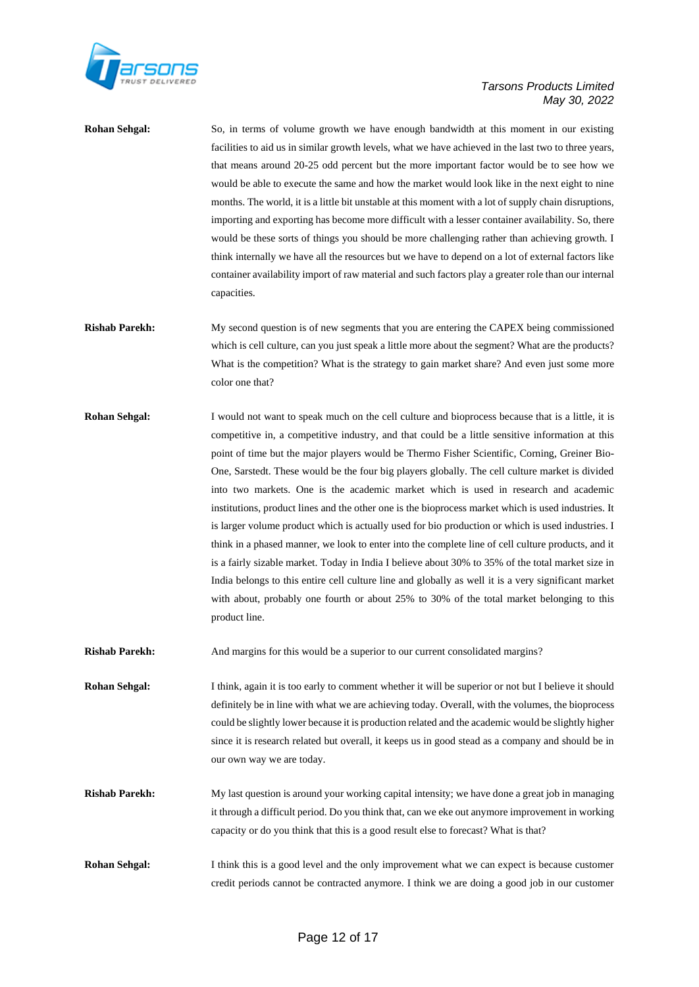

**Rohan Sehgal:** So, in terms of volume growth we have enough bandwidth at this moment in our existing facilities to aid us in similar growth levels, what we have achieved in the last two to three years, that means around 20-25 odd percent but the more important factor would be to see how we would be able to execute the same and how the market would look like in the next eight to nine months. The world, it is a little bit unstable at this moment with a lot of supply chain disruptions, importing and exporting has become more difficult with a lesser container availability. So, there would be these sorts of things you should be more challenging rather than achieving growth. I think internally we have all the resources but we have to depend on a lot of external factors like container availability import of raw material and such factors play a greater role than our internal capacities.

- **Rishab Parekh:** My second question is of new segments that you are entering the CAPEX being commissioned which is cell culture, can you just speak a little more about the segment? What are the products? What is the competition? What is the strategy to gain market share? And even just some more color one that?
- **Rohan Sehgal:** I would not want to speak much on the cell culture and bioprocess because that is a little, it is competitive in, a competitive industry, and that could be a little sensitive information at this point of time but the major players would be Thermo Fisher Scientific, Corning, Greiner Bio-One, Sarstedt. These would be the four big players globally. The cell culture market is divided into two markets. One is the academic market which is used in research and academic institutions, product lines and the other one is the bioprocess market which is used industries. It is larger volume product which is actually used for bio production or which is used industries. I think in a phased manner, we look to enter into the complete line of cell culture products, and it is a fairly sizable market. Today in India I believe about 30% to 35% of the total market size in India belongs to this entire cell culture line and globally as well it is a very significant market with about, probably one fourth or about 25% to 30% of the total market belonging to this product line.

**Rishab Parekh:** And margins for this would be a superior to our current consolidated margins?

**Rohan Sehgal:** I think, again it is too early to comment whether it will be superior or not but I believe it should definitely be in line with what we are achieving today. Overall, with the volumes, the bioprocess could be slightly lower because it is production related and the academic would be slightly higher since it is research related but overall, it keeps us in good stead as a company and should be in our own way we are today.

- **Rishab Parekh:** My last question is around your working capital intensity; we have done a great job in managing it through a difficult period. Do you think that, can we eke out anymore improvement in working capacity or do you think that this is a good result else to forecast? What is that?
- **Rohan Sehgal:** I think this is a good level and the only improvement what we can expect is because customer credit periods cannot be contracted anymore. I think we are doing a good job in our customer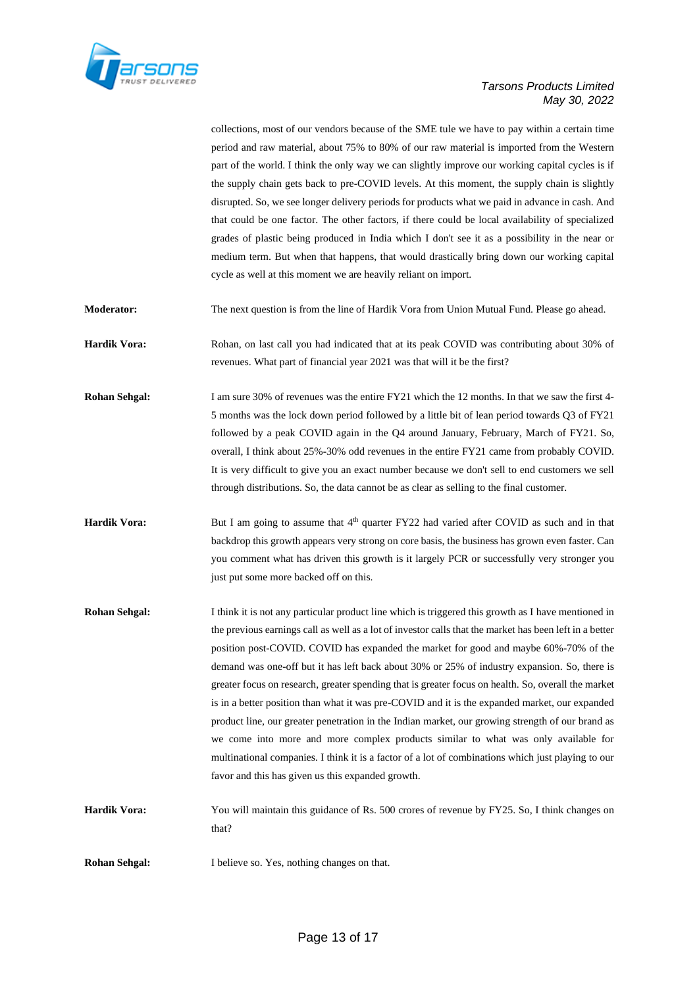

collections, most of our vendors because of the SME tule we have to pay within a certain time period and raw material, about 75% to 80% of our raw material is imported from the Western part of the world. I think the only way we can slightly improve our working capital cycles is if the supply chain gets back to pre-COVID levels. At this moment, the supply chain is slightly disrupted. So, we see longer delivery periods for products what we paid in advance in cash. And that could be one factor. The other factors, if there could be local availability of specialized grades of plastic being produced in India which I don't see it as a possibility in the near or medium term. But when that happens, that would drastically bring down our working capital cycle as well at this moment we are heavily reliant on import.

**Moderator:** The next question is from the line of Hardik Vora from Union Mutual Fund. Please go ahead.

**Hardik Vora:** Rohan, on last call you had indicated that at its peak COVID was contributing about 30% of revenues. What part of financial year 2021 was that will it be the first?

- **Rohan Sehgal:** I am sure 30% of revenues was the entire FY21 which the 12 months. In that we saw the first 4-5 months was the lock down period followed by a little bit of lean period towards Q3 of FY21 followed by a peak COVID again in the Q4 around January, February, March of FY21. So, overall, I think about 25%-30% odd revenues in the entire FY21 came from probably COVID. It is very difficult to give you an exact number because we don't sell to end customers we sell through distributions. So, the data cannot be as clear as selling to the final customer.
- **Hardik Vora:** But I am going to assume that  $4<sup>th</sup>$  quarter FY22 had varied after COVID as such and in that backdrop this growth appears very strong on core basis, the business has grown even faster. Can you comment what has driven this growth is it largely PCR or successfully very stronger you just put some more backed off on this.
- **Rohan Sehgal:** I think it is not any particular product line which is triggered this growth as I have mentioned in the previous earnings call as well as a lot of investor calls that the market has been left in a better position post-COVID. COVID has expanded the market for good and maybe 60%-70% of the demand was one-off but it has left back about 30% or 25% of industry expansion. So, there is greater focus on research, greater spending that is greater focus on health. So, overall the market is in a better position than what it was pre-COVID and it is the expanded market, our expanded product line, our greater penetration in the Indian market, our growing strength of our brand as we come into more and more complex products similar to what was only available for multinational companies. I think it is a factor of a lot of combinations which just playing to our favor and this has given us this expanded growth.

**Hardik Vora:** You will maintain this guidance of Rs. 500 crores of revenue by FY25. So, I think changes on that?

**Rohan Sehgal:** I believe so. Yes, nothing changes on that.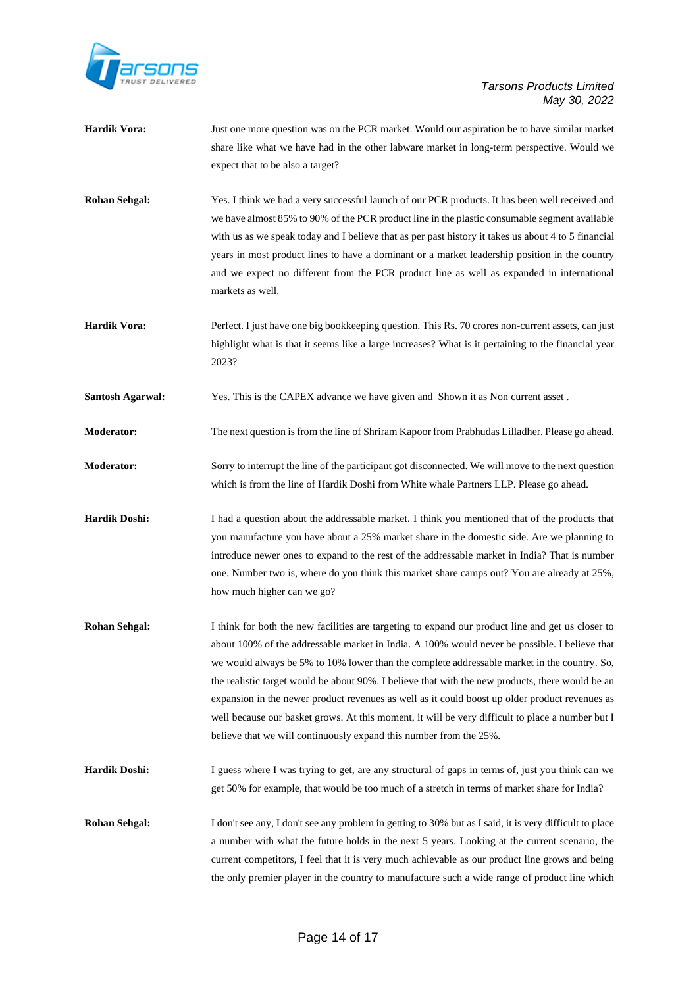

| <b>Hardik Vora:</b>     | Just one more question was on the PCR market. Would our aspiration be to have similar market<br>share like what we have had in the other labware market in long-term perspective. Would we<br>expect that to be also a target?                                                                                                                                                                                                                                                                                                                                                                                                                                                    |
|-------------------------|-----------------------------------------------------------------------------------------------------------------------------------------------------------------------------------------------------------------------------------------------------------------------------------------------------------------------------------------------------------------------------------------------------------------------------------------------------------------------------------------------------------------------------------------------------------------------------------------------------------------------------------------------------------------------------------|
| <b>Rohan Sehgal:</b>    | Yes. I think we had a very successful launch of our PCR products. It has been well received and<br>we have almost 85% to 90% of the PCR product line in the plastic consumable segment available<br>with us as we speak today and I believe that as per past history it takes us about 4 to 5 financial<br>years in most product lines to have a dominant or a market leadership position in the country<br>and we expect no different from the PCR product line as well as expanded in international<br>markets as well.                                                                                                                                                         |
| <b>Hardik Vora:</b>     | Perfect. I just have one big bookkeeping question. This Rs. 70 crores non-current assets, can just<br>highlight what is that it seems like a large increases? What is it pertaining to the financial year<br>2023?                                                                                                                                                                                                                                                                                                                                                                                                                                                                |
| <b>Santosh Agarwal:</b> | Yes. This is the CAPEX advance we have given and Shown it as Non current asset.                                                                                                                                                                                                                                                                                                                                                                                                                                                                                                                                                                                                   |
| Moderator:              | The next question is from the line of Shriram Kapoor from Prabhudas Lilladher. Please go ahead.                                                                                                                                                                                                                                                                                                                                                                                                                                                                                                                                                                                   |
| <b>Moderator:</b>       | Sorry to interrupt the line of the participant got disconnected. We will move to the next question<br>which is from the line of Hardik Doshi from White whale Partners LLP. Please go ahead.                                                                                                                                                                                                                                                                                                                                                                                                                                                                                      |
| <b>Hardik Doshi:</b>    | I had a question about the addressable market. I think you mentioned that of the products that<br>you manufacture you have about a 25% market share in the domestic side. Are we planning to<br>introduce newer ones to expand to the rest of the addressable market in India? That is number<br>one. Number two is, where do you think this market share camps out? You are already at 25%,<br>how much higher can we go?                                                                                                                                                                                                                                                        |
| <b>Rohan Sehgal:</b>    | I think for both the new facilities are targeting to expand our product line and get us closer to<br>about 100% of the addressable market in India. A 100% would never be possible. I believe that<br>we would always be 5% to 10% lower than the complete addressable market in the country. So,<br>the realistic target would be about 90%. I believe that with the new products, there would be an<br>expansion in the newer product revenues as well as it could boost up older product revenues as<br>well because our basket grows. At this moment, it will be very difficult to place a number but I<br>believe that we will continuously expand this number from the 25%. |
| <b>Hardik Doshi:</b>    | I guess where I was trying to get, are any structural of gaps in terms of, just you think can we<br>get 50% for example, that would be too much of a stretch in terms of market share for India?                                                                                                                                                                                                                                                                                                                                                                                                                                                                                  |
| <b>Rohan Sehgal:</b>    | I don't see any, I don't see any problem in getting to 30% but as I said, it is very difficult to place<br>a number with what the future holds in the next 5 years. Looking at the current scenario, the<br>current competitors, I feel that it is very much achievable as our product line grows and being<br>the only premier player in the country to manufacture such a wide range of product line which                                                                                                                                                                                                                                                                      |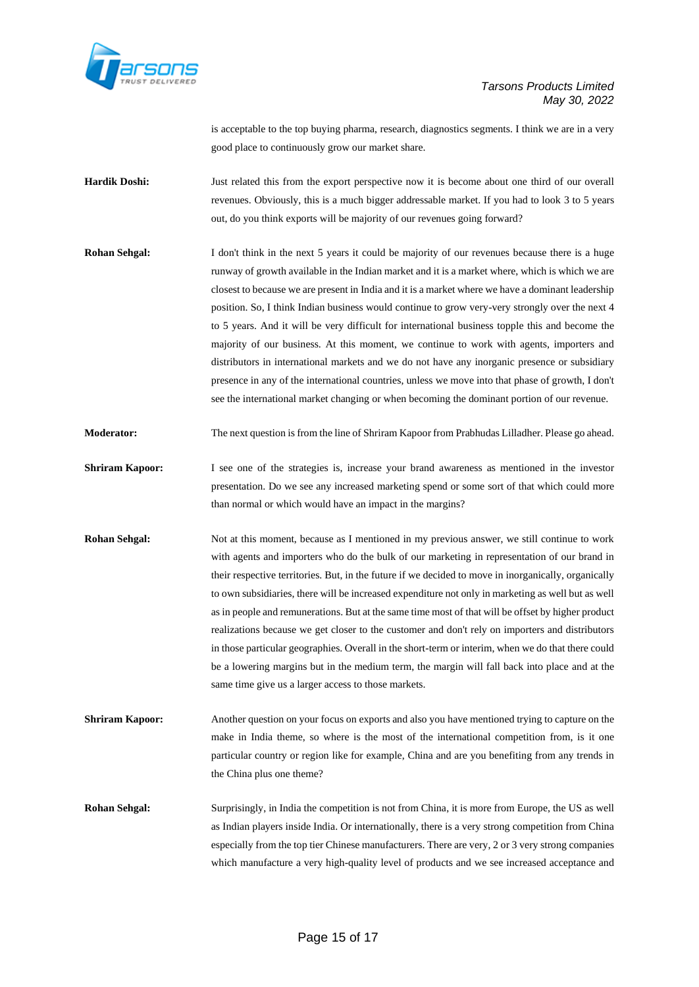

is acceptable to the top buying pharma, research, diagnostics segments. I think we are in a very good place to continuously grow our market share.

**Hardik Doshi:** Just related this from the export perspective now it is become about one third of our overall revenues. Obviously, this is a much bigger addressable market. If you had to look 3 to 5 years out, do you think exports will be majority of our revenues going forward?

- **Rohan Sehgal:** I don't think in the next 5 years it could be majority of our revenues because there is a huge runway of growth available in the Indian market and it is a market where, which is which we are closest to because we are present in India and it is a market where we have a dominant leadership position. So, I think Indian business would continue to grow very-very strongly over the next 4 to 5 years. And it will be very difficult for international business topple this and become the majority of our business. At this moment, we continue to work with agents, importers and distributors in international markets and we do not have any inorganic presence or subsidiary presence in any of the international countries, unless we move into that phase of growth, I don't see the international market changing or when becoming the dominant portion of our revenue.
- **Moderator:** The next question is from the line of Shriram Kapoor from Prabhudas Lilladher. Please go ahead.
- **Shriram Kapoor:** I see one of the strategies is, increase your brand awareness as mentioned in the investor presentation. Do we see any increased marketing spend or some sort of that which could more than normal or which would have an impact in the margins?
- **Rohan Sehgal:** Not at this moment, because as I mentioned in my previous answer, we still continue to work with agents and importers who do the bulk of our marketing in representation of our brand in their respective territories. But, in the future if we decided to move in inorganically, organically to own subsidiaries, there will be increased expenditure not only in marketing as well but as well as in people and remunerations. But at the same time most of that will be offset by higher product realizations because we get closer to the customer and don't rely on importers and distributors in those particular geographies. Overall in the short-term or interim, when we do that there could be a lowering margins but in the medium term, the margin will fall back into place and at the same time give us a larger access to those markets.
- **Shriram Kapoor:** Another question on your focus on exports and also you have mentioned trying to capture on the make in India theme, so where is the most of the international competition from, is it one particular country or region like for example, China and are you benefiting from any trends in the China plus one theme?

**Rohan Sehgal:** Surprisingly, in India the competition is not from China, it is more from Europe, the US as well as Indian players inside India. Or internationally, there is a very strong competition from China especially from the top tier Chinese manufacturers. There are very, 2 or 3 very strong companies which manufacture a very high-quality level of products and we see increased acceptance and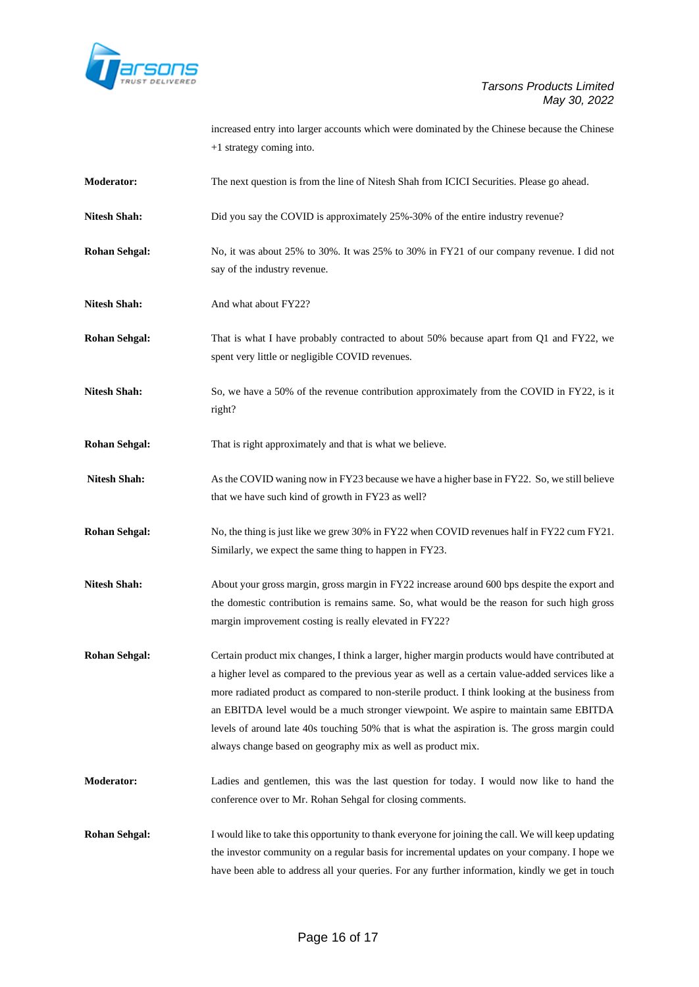

|                      | increased entry into larger accounts which were dominated by the Chinese because the Chinese<br>+1 strategy coming into.                                                                                                                                                                                                                                                                                                                                                                                                                                        |
|----------------------|-----------------------------------------------------------------------------------------------------------------------------------------------------------------------------------------------------------------------------------------------------------------------------------------------------------------------------------------------------------------------------------------------------------------------------------------------------------------------------------------------------------------------------------------------------------------|
| <b>Moderator:</b>    | The next question is from the line of Nitesh Shah from ICICI Securities. Please go ahead.                                                                                                                                                                                                                                                                                                                                                                                                                                                                       |
| <b>Nitesh Shah:</b>  | Did you say the COVID is approximately 25%-30% of the entire industry revenue?                                                                                                                                                                                                                                                                                                                                                                                                                                                                                  |
| <b>Rohan Sehgal:</b> | No, it was about 25% to 30%. It was 25% to 30% in FY21 of our company revenue. I did not<br>say of the industry revenue.                                                                                                                                                                                                                                                                                                                                                                                                                                        |
| <b>Nitesh Shah:</b>  | And what about FY22?                                                                                                                                                                                                                                                                                                                                                                                                                                                                                                                                            |
| <b>Rohan Sehgal:</b> | That is what I have probably contracted to about 50% because apart from Q1 and FY22, we<br>spent very little or negligible COVID revenues.                                                                                                                                                                                                                                                                                                                                                                                                                      |
| <b>Nitesh Shah:</b>  | So, we have a 50% of the revenue contribution approximately from the COVID in FY22, is it<br>right?                                                                                                                                                                                                                                                                                                                                                                                                                                                             |
| <b>Rohan Sehgal:</b> | That is right approximately and that is what we believe.                                                                                                                                                                                                                                                                                                                                                                                                                                                                                                        |
| <b>Nitesh Shah:</b>  | As the COVID waning now in FY23 because we have a higher base in FY22. So, we still believe<br>that we have such kind of growth in FY23 as well?                                                                                                                                                                                                                                                                                                                                                                                                                |
| <b>Rohan Sehgal:</b> | No, the thing is just like we grew 30% in FY22 when COVID revenues half in FY22 cum FY21.<br>Similarly, we expect the same thing to happen in FY23.                                                                                                                                                                                                                                                                                                                                                                                                             |
| <b>Nitesh Shah:</b>  | About your gross margin, gross margin in FY22 increase around 600 bps despite the export and<br>the domestic contribution is remains same. So, what would be the reason for such high gross<br>margin improvement costing is really elevated in FY22?                                                                                                                                                                                                                                                                                                           |
| <b>Rohan Sehgal:</b> | Certain product mix changes, I think a larger, higher margin products would have contributed at<br>a higher level as compared to the previous year as well as a certain value-added services like a<br>more radiated product as compared to non-sterile product. I think looking at the business from<br>an EBITDA level would be a much stronger viewpoint. We aspire to maintain same EBITDA<br>levels of around late 40s touching 50% that is what the aspiration is. The gross margin could<br>always change based on geography mix as well as product mix. |
| <b>Moderator:</b>    | Ladies and gentlemen, this was the last question for today. I would now like to hand the<br>conference over to Mr. Rohan Sehgal for closing comments.                                                                                                                                                                                                                                                                                                                                                                                                           |
| <b>Rohan Sehgal:</b> | I would like to take this opportunity to thank everyone for joining the call. We will keep updating<br>the investor community on a regular basis for incremental updates on your company. I hope we<br>have been able to address all your queries. For any further information, kindly we get in touch                                                                                                                                                                                                                                                          |